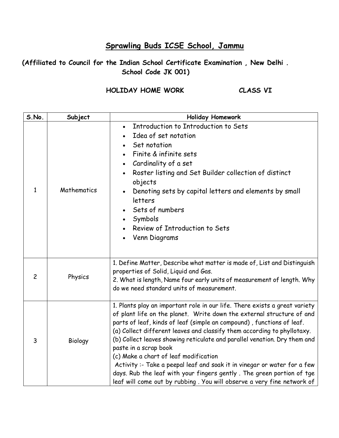## **Sprawling Buds ICSE School, Jammu**

## **(Affiliated to Council for the Indian School Certificate Examination , New Delhi . School Code JK 001)**

## **HOLIDAY HOME WORK CLASS VI**

| S.No.          | Subject     | <b>Holiday Homework</b>                                                                                                                                                                                                                                                                                                                                                                                                                                                                                                                                                                                                                                                               |
|----------------|-------------|---------------------------------------------------------------------------------------------------------------------------------------------------------------------------------------------------------------------------------------------------------------------------------------------------------------------------------------------------------------------------------------------------------------------------------------------------------------------------------------------------------------------------------------------------------------------------------------------------------------------------------------------------------------------------------------|
| $\mathbf{1}$   | Mathematics | Introduction to Introduction to Sets<br>Idea of set notation<br>$\bullet$<br>Set notation<br>Finite & infinite sets<br>Cardinality of a set<br>Roster listing and Set Builder collection of distinct<br>objects<br>Denoting sets by capital letters and elements by small<br>$\bullet$<br>letters<br>Sets of numbers<br>Symbols<br>Review of Introduction to Sets<br>Venn Diagrams<br>$\bullet$                                                                                                                                                                                                                                                                                       |
| $\overline{c}$ | Physics     | 1. Define Matter, Describe what matter is made of, List and Distinguish<br>properties of Solid, Liquid and Gas.<br>2. What is length, Name four early units of measurement of length. Why<br>do we need standard units of measurement.                                                                                                                                                                                                                                                                                                                                                                                                                                                |
| 3              | Biology     | 1. Plants play an important role in our life. There exists a great variety<br>of plant life on the planet. Write down the external structure of and<br>parts of leaf, kinds of leaf (simple an compound), functions of leaf.<br>(a) Collect different leaves and classify them according to phyllotaxy.<br>(b) Collect leaves showing reticulate and parallel venation. Dry them and<br>paste in a scrap book<br>(c) Make a chart of leaf modification<br>Activity :- Take a peepal leaf and soak it in vinegar or water for a few<br>days. Rub the leaf with your fingers gently. The green portion of tge<br>leaf will come out by rubbing. You will observe a very fine network of |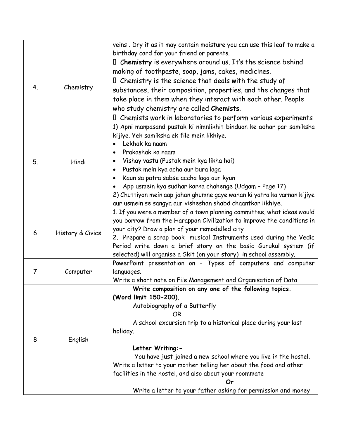|                |                  | veins. Dry it as it may contain moisture you can use this leaf to make a |
|----------------|------------------|--------------------------------------------------------------------------|
|                |                  | birthday card for your friend or parents.                                |
| 4.             | Chemistry        | I Chemistry is everywhere around us. It's the science behind             |
|                |                  | making of toothpaste, soap, jams, cakes, medicines.                      |
|                |                  | $\mathbb I$ Chemistry is the science that deals with the study of        |
|                |                  | substances, their composition, properties, and the changes that          |
|                |                  | take place in them when they interact with each other. People            |
|                |                  | who study chemistry are called Chemists.                                 |
|                |                  | $\Box$ Chemists work in laboratories to perform various experiments      |
|                | Hindi            | 1) Apni manpasand pustak ki nimnlikhit binduon ke adhar par samiksha     |
|                |                  | kijiye. Yeh samiksha ek file mein likhiye.                               |
|                |                  | Lekhak ka naam                                                           |
|                |                  | Prakashak ka naam                                                        |
| 5.             |                  | Vishay vastu (Pustak mein kya likha hai)                                 |
|                |                  | Pustak mein kya acha aur bura laga                                       |
|                |                  | Kaun sa patra sabse accha laga aur kyun                                  |
|                |                  | App usmein kya sudhar karna chahenge (Udgam - Page 17)                   |
|                |                  | 2) Chuttiyon mein aap jahan ghumne gaye wahan ki yatra ka varnan kijiye  |
|                |                  | aur usmein se sangya aur visheshan shabd chaantkar likhiye.              |
|                | History & Civics | 1. If you were a member of a town planning committee, what ideas would   |
|                |                  | you borrow from the Harappan Civilization to improve the conditions in   |
| 6              |                  | your city? Draw a plan of your remodelled city                           |
|                |                  | 2. Prepare a scrap book musical Instruments used during the Vedic        |
|                |                  | Period write down a brief story on the basic Gurukul system (if          |
|                |                  | selected) will organise a Skit (on your story) in school assembly.       |
|                | Computer         | PowerPoint presentation on - Types of computers and computer             |
| $\overline{7}$ |                  | languages.                                                               |
|                |                  | Write a short note on File Management and Organisation of Data           |
|                | English          | Write composition on any one of the following topics.                    |
|                |                  | (Word limit 150-200).                                                    |
|                |                  | Autobiography of a Butterfly                                             |
|                |                  | <b>OR</b>                                                                |
|                |                  | A school excursion trip to a historical place during your last           |
|                |                  | holiday.                                                                 |
| 8              |                  |                                                                          |
|                |                  | Letter Writing: -                                                        |
|                |                  | You have just joined a new school where you live in the hostel.          |
|                |                  | Write a letter to your mother telling her about the food and other       |
|                |                  | facilities in the hostel, and also about your roommate                   |
|                |                  | Or                                                                       |
|                |                  | Write a letter to your father asking for permission and money            |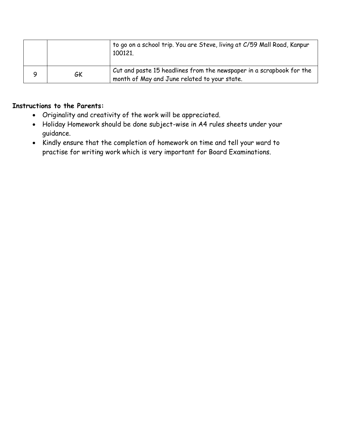|    | to go on a school trip. You are Steve, living at C/59 Mall Road, Kanpur<br>100121.                                   |
|----|----------------------------------------------------------------------------------------------------------------------|
| GK | Cut and paste 15 headlines from the newspaper in a scrapbook for the<br>month of May and June related to your state. |

## **Instructions to the Parents:**

- Originality and creativity of the work will be appreciated.
- Holiday Homework should be done subject-wise in A4 rules sheets under your guidance.
- Kindly ensure that the completion of homework on time and tell your ward to practise for writing work which is very important for Board Examinations.